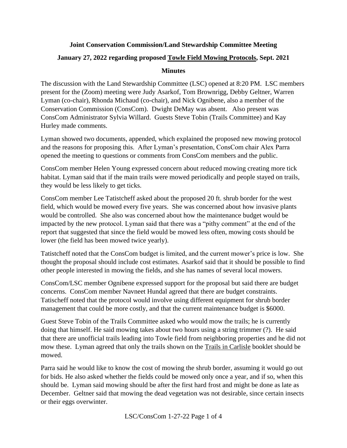### **Joint Conservation Commission/Land Stewardship Committee Meeting January 27, 2022 regarding proposed Towle Field Mowing Protocols, Sept. 2021**

#### **Minutes**

The discussion with the Land Stewardship Committee (LSC) opened at 8:20 PM. LSC members present for the (Zoom) meeting were Judy Asarkof, Tom Brownrigg, Debby Geltner, Warren Lyman (co-chair), Rhonda Michaud (co-chair), and Nick Ognibene, also a member of the Conservation Commission (ConsCom). Dwight DeMay was absent. Also present was ConsCom Administrator Sylvia Willard. Guests Steve Tobin (Trails Committee) and Kay Hurley made comments.

Lyman showed two documents, appended, which explained the proposed new mowing protocol and the reasons for proposing this. After Lyman's presentation, ConsCom chair Alex Parra opened the meeting to questions or comments from ConsCom members and the public.

ConsCom member Helen Young expressed concern about reduced mowing creating more tick habitat. Lyman said that if the main trails were mowed periodically and people stayed on trails, they would be less likely to get ticks.

ConsCom member Lee Tatistcheff asked about the proposed 20 ft. shrub border for the west field, which would be mowed every five years. She was concerned about how invasive plants would be controlled. She also was concerned about how the maintenance budget would be impacted by the new protocol. Lyman said that there was a "pithy comment" at the end of the report that suggested that since the field would be mowed less often, mowing costs should be lower (the field has been mowed twice yearly).

Tatistcheff noted that the ConsCom budget is limited, and the current mower's price is low. She thought the proposal should include cost estimates. Asarkof said that it should be possible to find other people interested in mowing the fields, and she has names of several local mowers.

ConsCom/LSC member Ognibene expressed support for the proposal but said there are budget concerns. ConsCom member Navneet Hundal agreed that there are budget constraints. Tatischeff noted that the protocol would involve using different equipment for shrub border management that could be more costly, and that the current maintenance budget is \$6000.

Guest Steve Tobin of the Trails Committee asked who would mow the trails; he is currently doing that himself. He said mowing takes about two hours using a string trimmer (?). He said that there are unofficial trails leading into Towle field from neighboring properties and he did not mow these. Lyman agreed that only the trails shown on the Trails in Carlisle booklet should be mowed.

Parra said he would like to know the cost of mowing the shrub border, assuming it would go out for bids. He also asked whether the fields could be mowed only once a year, and if so, when this should be. Lyman said mowing should be after the first hard frost and might be done as late as December. Geltner said that mowing the dead vegetation was not desirable, since certain insects or their eggs overwinter.

LSC/ConsCom 1-27-22 Page 1 of 4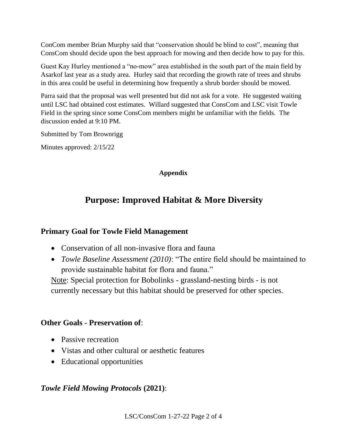ConCom member Brian Murphy said that "conservation should be blind to cost", meaning that ConsCom should decide upon the best approach for mowing and then decide how to pay for this.

Guest Kay Hurley mentioned a "no-mow" area established in the south part of the main field by Asarkof last year as a study area. Hurley said that recording the growth rate of trees and shrubs in this area could be useful in determining how frequently a shrub border should be mowed.

Parra said that the proposal was well presented but did not ask for a vote. He suggested waiting until LSC had obtained cost estimates. Willard suggested that ConsCom and LSC visit Towle Field in the spring since some ConsCom members might be unfamiliar with the fields. The discussion ended at 9:10 PM.

Submitted by Tom Brownrigg

Minutes approved: 2/15/22

#### **Appendix**

# **Purpose: Improved Habitat & More Diversity**

### **Primary Goal for Towle Field Management**

- Conservation of all non-invasive flora and fauna
- *Towle Baseline Assessment (2010)*: "The entire field should be maintained to provide sustainable habitat for flora and fauna."

Note: Special protection for Bobolinks - grassland-nesting birds - is not currently necessary but this habitat should be preserved for other species.

### **Other Goals - Preservation of**:

- Passive recreation
- Vistas and other cultural or aesthetic features
- Educational opportunities

### *Towle Field Mowing Protocols* **(2021)**: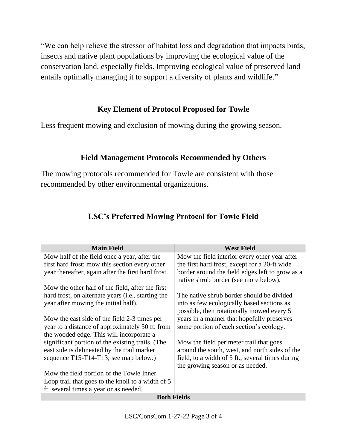"We can help relieve the stressor of habitat loss and degradation that impacts birds, insects and native plant populations by improving the ecological value of the conservation land, especially fields. Improving ecological value of preserved land entails optimally managing it to support a diversity of plants and wildlife."

## **Key Element of Protocol Proposed for Towle**

Less frequent mowing and exclusion of mowing during the growing season.

## **Field Management Protocols Recommended by Others**

The mowing protocols recommended for Towle are consistent with those recommended by other environmental organizations.

| <b>Main Field</b>                                           | <b>West Field</b>                                |
|-------------------------------------------------------------|--------------------------------------------------|
| Mow half of the field once a year, after the                | Mow the field interior every other year after    |
| first hard frost; mow this section every other              | the first hard frost, except for a 20-ft wide    |
| year thereafter, again after the first hard frost.          | border around the field edges left to grow as a  |
|                                                             | native shrub border (see more below).            |
| Mow the other half of the field, after the first            |                                                  |
| hard frost, on alternate years ( <i>i.e.</i> , starting the | The native shrub border should be divided        |
| year after mowing the initial half).                        | into as few ecologically based sections as       |
|                                                             | possible, then rotationally mowed every 5        |
| Mow the east side of the field 2-3 times per                | years in a manner that hopefully preserves       |
| year to a distance of approximately 50 ft. from             | some portion of each section's ecology.          |
| the wooded edge. This will incorporate a                    |                                                  |
| significant portion of the existing trails. (The            | Mow the field perimeter trail that goes          |
| east side is delineated by the trail marker                 | around the south, west, and north sides of the   |
| sequence T15-T14-T13; see map below.)                       | field, to a width of 5 ft., several times during |
|                                                             | the growing season or as needed.                 |
| Mow the field portion of the Towle Inner                    |                                                  |
| Loop trail that goes to the knoll to a width of 5           |                                                  |
| ft. several times a year or as needed.                      |                                                  |
| <b>Both Fields</b>                                          |                                                  |

# **LSC's Preferred Mowing Protocol for Towle Field**